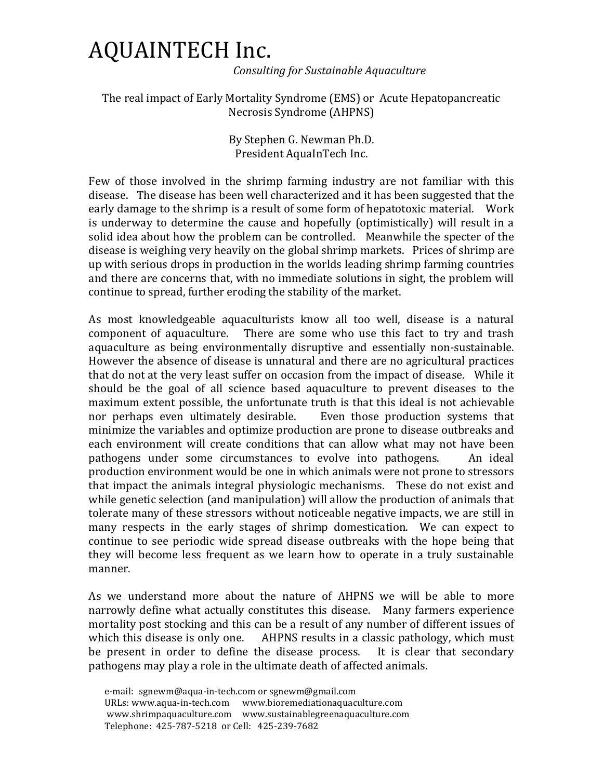## AQUAINTECH Inc.

 *Consulting for Sustainable Aquaculture*

The real impact of Early Mortality Syndrome (EMS) or Acute Hepatopancreatic Necrosis Syndrome (AHPNS)

> By Stephen G. Newman Ph.D. President AquaInTech Inc.

Few of those involved in the shrimp farming industry are not familiar with this disease. The disease has been well characterized and it has been suggested that the early damage to the shrimp is a result of some form of hepatotoxic material. Work is underway to determine the cause and hopefully (optimistically) will result in a solid idea about how the problem can be controlled. Meanwhile the specter of the disease is weighing very heavily on the global shrimp markets. Prices of shrimp are up with serious drops in production in the worlds leading shrimp farming countries and there are concerns that, with no immediate solutions in sight, the problem will continue to spread, further eroding the stability of the market.

As most knowledgeable aquaculturists know all too well, disease is a natural component of aquaculture. There are some who use this fact to try and trash aquaculture as being environmentally disruptive and essentially non-sustainable. However the absence of disease is unnatural and there are no agricultural practices that do not at the very least suffer on occasion from the impact of disease. While it should be the goal of all science based aquaculture to prevent diseases to the maximum extent possible, the unfortunate truth is that this ideal is not achievable nor perhaps even ultimately desirable. Even those production systems that minimize the variables and optimize production are prone to disease outbreaks and each environment will create conditions that can allow what may not have been pathogens under some circumstances to evolve into pathogens. An ideal production environment would be one in which animals were not prone to stressors that impact the animals integral physiologic mechanisms. These do not exist and while genetic selection (and manipulation) will allow the production of animals that tolerate many of these stressors without noticeable negative impacts, we are still in many respects in the early stages of shrimp domestication. We can expect to continue to see periodic wide spread disease outbreaks with the hope being that they will become less frequent as we learn how to operate in a truly sustainable manner.

As we understand more about the nature of AHPNS we will be able to more narrowly define what actually constitutes this disease. Many farmers experience mortality post stocking and this can be a result of any number of different issues of which this disease is only one. AHPNS results in a classic pathology, which must be present in order to define the disease process. It is clear that secondary pathogens may play a role in the ultimate death of affected animals.